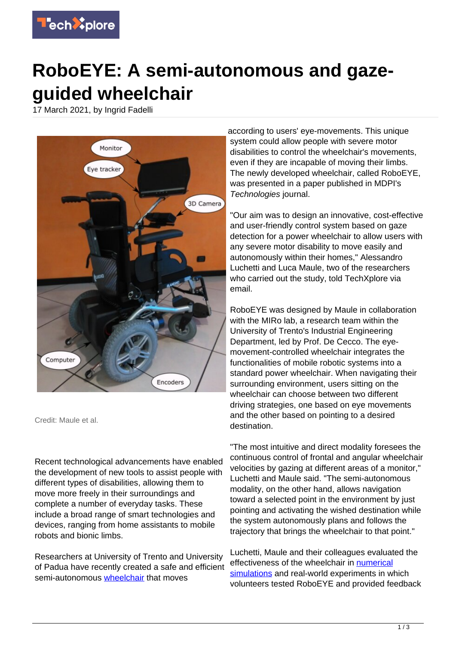

## **RoboEYE: A semi-autonomous and gazeguided wheelchair**

17 March 2021, by Ingrid Fadelli



Credit: Maule et al.

Recent technological advancements have enabled the development of new tools to assist people with different types of disabilities, allowing them to move more freely in their surroundings and complete a number of everyday tasks. These include a broad range of smart technologies and devices, ranging from home assistants to mobile robots and bionic limbs.

Researchers at University of Trento and University of Padua have recently created a safe and efficient semi-autonomous [wheelchair](https://techxplore.com/tags/wheelchair/) that moves

according to users' eye-movements. This unique system could allow people with severe motor disabilities to control the wheelchair's movements, even if they are incapable of moving their limbs. The newly developed wheelchair, called RoboEYE, was presented in a paper published in MDPI's Technologies journal.

"Our aim was to design an innovative, cost-effective and user-friendly control system based on gaze detection for a power wheelchair to allow users with any severe motor disability to move easily and autonomously within their homes," Alessandro Luchetti and Luca Maule, two of the researchers who carried out the study, told TechXplore via email.

RoboEYE was designed by Maule in collaboration with the MIRo lab, a research team within the University of Trento's Industrial Engineering Department, led by Prof. De Cecco. The eyemovement-controlled wheelchair integrates the functionalities of mobile robotic systems into a standard power wheelchair. When navigating their surrounding environment, users sitting on the wheelchair can choose between two different driving strategies, one based on eye movements and the other based on pointing to a desired destination.

"The most intuitive and direct modality foresees the continuous control of frontal and angular wheelchair velocities by gazing at different areas of a monitor," Luchetti and Maule said. "The semi-autonomous modality, on the other hand, allows navigation toward a selected point in the environment by just pointing and activating the wished destination while the system autonomously plans and follows the trajectory that brings the wheelchair to that point."

Luchetti, Maule and their colleagues evaluated the effectiveness of the wheelchair in [numerical](https://techxplore.com/tags/numerical+simulations/) [simulations](https://techxplore.com/tags/numerical+simulations/) and real-world experiments in which volunteers tested RoboEYE and provided feedback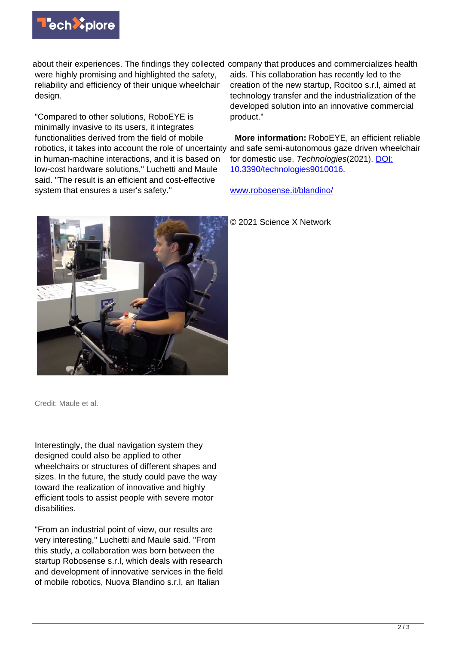

about their experiences. The findings they collected company that produces and commercializes health were highly promising and highlighted the safety, reliability and efficiency of their unique wheelchair design.

"Compared to other solutions, RoboEYE is minimally invasive to its users, it integrates functionalities derived from the field of mobile robotics, it takes into account the role of uncertainty and safe semi-autonomous gaze driven wheelchair in human-machine interactions, and it is based on low-cost hardware solutions," Luchetti and Maule said. "The result is an efficient and cost-effective system that ensures a user's safety."



aids. This collaboration has recently led to the creation of the new startup, Rocitoo s.r.l, aimed at technology transfer and the industrialization of the developed solution into an innovative commercial product."

 **More information:** RoboEYE, an efficient reliable for domestic use. Technologies(2021). [DOI:](http://dx.doi.org/10.3390/technologies9010016) [10.3390/technologies9010016.](http://dx.doi.org/10.3390/technologies9010016)

[www.robosense.it/blandino/](https://www.robosense.it/blandino/)

© 2021 Science X Network

Credit: Maule et al.

Interestingly, the dual navigation system they designed could also be applied to other wheelchairs or structures of different shapes and sizes. In the future, the study could pave the way toward the realization of innovative and highly efficient tools to assist people with severe motor disabilities.

"From an industrial point of view, our results are very interesting," Luchetti and Maule said. "From this study, a collaboration was born between the startup Robosense s.r.l, which deals with research and development of innovative services in the field of mobile robotics, Nuova Blandino s.r.l, an Italian